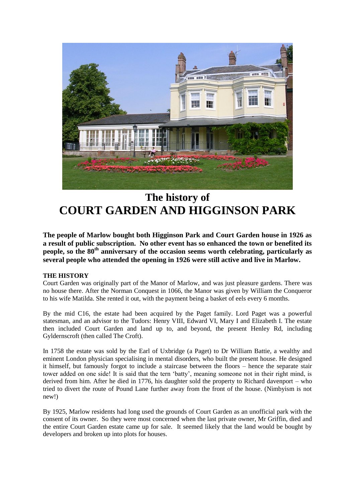

# **The history of COURT GARDEN AND HIGGINSON PARK**

**The people of Marlow bought both Higginson Park and Court Garden house in 1926 as a result of public subscription. No other event has so enhanced the town or benefited its people, so the 80th anniversary of the occasion seems worth celebrating, particularly as several people who attended the opening in 1926 were still active and live in Marlow.**

## **THE HISTORY**

Court Garden was originally part of the Manor of Marlow, and was just pleasure gardens. There was no house there. After the Norman Conquest in 1066, the Manor was given by William the Conqueror to his wife Matilda. She rented it out, with the payment being a basket of eels every 6 months.

By the mid C16, the estate had been acquired by the Paget family. Lord Paget was a powerful statesman, and an advisor to the Tudors: Henry VIII, Edward VI, Mary I and Elizabeth I. The estate then included Court Garden and land up to, and beyond, the present Henley Rd, including Gyldernscroft (then called The Croft).

In 1758 the estate was sold by the Earl of Uxbridge (a Paget) to Dr William Battie, a wealthy and eminent London physician specialising in mental disorders, who built the present house. He designed it himself, but famously forgot to include a staircase between the floors – hence the separate stair tower added on one side! It is said that the tern 'batty', meaning someone not in their right mind, is derived from him. After he died in 1776, his daughter sold the property to Richard davenport – who tried to divert the route of Pound Lane further away from the front of the house. (Nimbyism is not new!)

By 1925, Marlow residents had long used the grounds of Court Garden as an unofficial park with the consent of its owner. So they were most concerned when the last private owner, Mr Griffin, died and the entire Court Garden estate came up for sale. It seemed likely that the land would be bought by developers and broken up into plots for houses.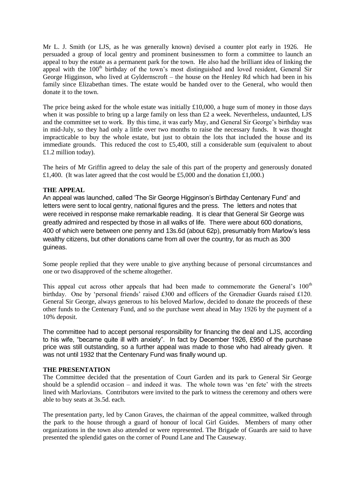Mr L. J. Smith (or LJS, as he was generally known) devised a counter plot early in 1926. He persuaded a group of local gentry and prominent businessmen to form a committee to launch an appeal to buy the estate as a permanent park for the town. He also had the brilliant idea of linking the appeal with the  $100<sup>th</sup>$  birthday of the town's most distinguished and loved resident, General Sir George Higginson, who lived at Gyldernscroft – the house on the Henley Rd which had been in his family since Elizabethan times. The estate would be handed over to the General, who would then donate it to the town.

The price being asked for the whole estate was initially  $\pounds10,000$ , a huge sum of money in those days when it was possible to bring up a large family on less than £2 a week. Nevertheless, undaunted, LJS and the committee set to work. By this time, it was early May, and General Sir George's birthday was in mid-July, so they had only a little over two months to raise the necessary funds. It was thought impracticable to buy the whole estate, but just to obtain the lots that included the house and its immediate grounds. This reduced the cost to £5,400, still a considerable sum (equivalent to about £1.2 million today).

The heirs of Mr Griffin agreed to delay the sale of this part of the property and generously donated £1,400. (It was later agreed that the cost would be £5,000 and the donation £1,000.)

### **THE APPEAL**

An appeal was launched, called 'The Sir George Higginson's Birthday Centenary Fund' and letters were sent to local gentry, national figures and the press. The letters and notes that were received in response make remarkable reading. It is clear that General Sir George was greatly admired and respected by those in all walks of life. There were about 600 donations, 400 of which were between one penny and 13s.6d (about 62p), presumably from Marlow's less wealthy citizens, but other donations came from all over the country, for as much as 300 guineas.

Some people replied that they were unable to give anything because of personal circumstances and one or two disapproved of the scheme altogether.

This appeal cut across other appeals that had been made to commemorate the General's 100<sup>th</sup> birthday. One by 'personal friends' raised £300 and officers of the Grenadier Guards raised £120. General Sir George, always generous to his beloved Marlow, decided to donate the proceeds of these other funds to the Centenary Fund, and so the purchase went ahead in May 1926 by the payment of a 10% deposit.

The committee had to accept personal responsibility for financing the deal and LJS, according to his wife, "became quite ill with anxiety". In fact by December 1926, £950 of the purchase price was still outstanding, so a further appeal was made to those who had already given. It was not until 1932 that the Centenary Fund was finally wound up.

### **THE PRESENTATION**

The Committee decided that the presentation of Court Garden and its park to General Sir George should be a splendid occasion – and indeed it was. The whole town was 'en fete' with the streets lined with Marlovians. Contributors were invited to the park to witness the ceremony and others were able to buy seats at 3s.5d. each.

The presentation party, led by Canon Graves, the chairman of the appeal committee, walked through the park to the house through a guard of honour of local Girl Guides. Members of many other organizations in the town also attended or were represented. The Brigade of Guards are said to have presented the splendid gates on the corner of Pound Lane and The Causeway.